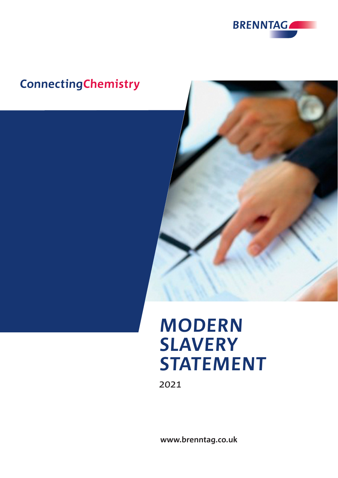

# **ConnectingChemistry**



# **MODERN SLAVERY STATEMENT**

2021

**www.brenntag.co.uk**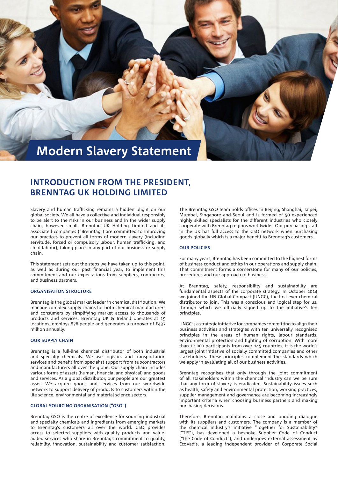

## **INTRODUCTION FROM THE PRESIDENT, BRENNTAG UK HOLDING LIMITED**

Slavery and human trafficking remains a hidden blight on our global society. We all have a collective and individual responsibly to be alert to the risks in our business and in the wider supply chain, however small. Brenntag UK Holding Limited and its associated companies ("Brenntag") are committed to improving our practices to prevent all forms of modern slavery (including servitude, forced or compulsory labour, human trafficking, and child labour), taking place in any part of our business or supply chain.

This statement sets out the steps we have taken up to this point, as well as during our past financial year, to implement this commitment and our expectations from suppliers, contractors, and business partners.

#### **ORGANISATION STRUCTURE**

Brenntag is the global market leader in chemical distribution. We manage complex supply chains for both chemical manufacturers and consumers by simplifying market access to thousands of products and services. Brenntag UK & Ireland operates at 19 locations, employs 876 people and generates a turnover of £437 million annually.

#### **OUR SUPPLY CHAIN**

Brenntag is a full-line chemical distributor of both industrial and specialty chemicals. We use logistics and transportation services and benefit from specialist support from subcontractors and manufacturers all over the globe. Our supply chain includes various forms of assets (human, financial and physical) and goods and services. As a global distributor, our people are our greatest asset. We acquire goods and services from our worldwide network to support delivery of products to customers within the life science, environmental and material science sectors.

#### **GLOBAL SOURCING ORGANISATION ("GSO")**

Brenntag GSO is the centre of excellence for sourcing industrial and specialty chemicals and ingredients from emerging markets to Brenntag's customers all over the world. GSO provides access to selected suppliers with quality products and valueadded services who share in Brenntag's commitment to quality, reliability, innovation, sustainability and customer satisfaction. The Brenntag GSO team holds offices in Beijing, Shanghai, Taipei, Mumbai, Singapore and Seoul and is formed of 50 experienced highly skilled specialists for the different industries who closely cooperate with Brenntag regions worldwide. Our purchasing staff in the UK has full access to the GSO network when purchasing goods globally which is a major benefit to Brenntag's customers.

#### **OUR POLICIES**

For many years, Brenntag has been committed to the highest forms of business conduct and ethics in our operations and supply chain. That commitment forms a cornerstone for many of our policies, procedures and our approach to business.

At Brenntag, safety, responsibility and sustainability are fundamental aspects of the corporate strategy. In October 2014 we joined the UN Global Compact (UNGC), the first ever chemical distributor to join. This was a conscious and logical step for us, through which we officially signed up to the initiative's ten principles.

UNGC is a strategic initiative for companies committing to align their business activities and strategies with ten universally recognised principles in the areas of human rights, labour standards, environmental protection and fighting of corruption. With more than 12,000 participants from over 145 countries, it is the world's largest joint initiative of socially committed companies and other stakeholders. These principles complement the standards which we apply in evaluating all of our business activities.

Brenntag recognises that only through the joint commitment of all stakeholders within the chemical industry can we be sure that any form of slavery is eradicated. Sustainability issues such as health, safety and environmental protection, working practices, supplier management and governance are becoming increasingly important criteria when choosing business partners and making purchasing decisions.

Therefore, Brenntag maintains a close and ongoing dialogue with its suppliers and customers. The company is a member of the chemical industry's initiative "Together for Sustainability" ("TfS"), has developed a bespoke Supplier Code of Conduct ("the Code of Conduct"), and undergoes external assessment by EcoVadis, a leading independent provider of Corporate Social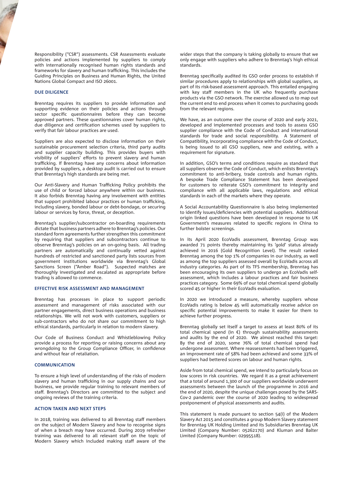Responsibility ("CSR") assessments. CSR Assessments evaluate policies and actions implemented by suppliers to comply with internationally recognised human rights standards and frameworks for slavery and human trafficking. This includes the Guiding Principles on Business and Human Rights, the United Nations Global Compact and ISO 26001.

#### **DUE DILIGENCE**

Brenntag requires its suppliers to provide information and supporting evidence on their policies and actions through sector specific questionnaires before they can become approved partners. These questionnaires cover human rights, due diligence and certification schemes used by suppliers to verify that fair labour practices are used.

Suppliers are also expected to disclose information on their sustainable procurement selection criteria, third party audits and supplier capacity building. This provides buyers with visibility of suppliers' efforts to prevent slavery and human trafficking. If Brenntag have any concerns about information provided by suppliers, a desktop audit is carried out to ensure that Brenntag's high standards are being met.

Our Anti-Slavery and Human Trafficking Policy prohibits the use of child or forced labour anywhere within our business. It also forbids Brenntag having any involvement with entities that support prohibited labour practices or human trafficking, including slavery, bonded labour or debt-bondage, or securing labour or services by force, threat, or deception.

Brenntag's supplier/subcontractor on-boarding requirements dictate that business partners adhere to Brenntag's policies. Our standard form agreements further strengthen this commitment by requiring that suppliers and subcontractors continue to observe Brenntag's policies on an on-going basis. All trading partners are automatically and continually vetted against hundreds of restricted and sanctioned party lists sources from government institutions worldwide via Brenntag's Global Sanctions Screen ("Amber Road"). Suspected matches are thoroughly investigated and escalated as appropriate before trading is allowed to commence.

#### **EFFECTIVE RISK ASSESSMENT AND MANAGEMENT**

Brenntag has processes in place to support periodic assessment and management of risks associated with our partner engagements, direct business operations and business relationships. We will not work with customers, suppliers or sub-contractors who do not share our commitment to high ethical standards, particularly in relation to modern slavery.

Our Code of Business Conduct and Whistleblowing Policy provide a process for reporting or raising concerns about any wrongdoing to the Group Compliance Officer, in confidence and without fear of retaliation.

#### **COMMUNICATION**

To ensure a high level of understanding of the risks of modern slavery and human trafficking in our supply chains and our business, we provide regular training to relevant members of staff. Brenntag's Directors are committed to the subject and ongoing reviews of the training criteria.

#### **ACTION TAKEN AND NEXT STEPS**

In 2018, training was delivered to all Brenntag staff members on the subject of Modern Slavery and how to recognise signs of when a breach may have occurred. During 2019 refresher training was delivered to all relevant staff on the topic of Modern Slavery which included making staff aware of the wider steps that the company is taking globally to ensure that we only engage with suppliers who adhere to Brenntag's high ethical standards.

Brenntag specifically audited its GSO order process to establish if similar procedures apply to relationships with global suppliers, as part of its risk-based assessment approach. This entailed engaging with key staff members in the UK who frequently purchase products via the GSO network. The exercise allowed us to map out the current end to end process when it comes to purchasing goods from the relevant regions.

We have, as an outcome over the course of 2020 and early 2021, developed and implemented processes and tools to assess GSO supplier compliance with the Code of Conduct and international standards for trade and social responsibility. A Statement of Compatibility, incorporating compliance with the Code of Conduct, is being issued to all GSO suppliers, new and existing, with a requirement for signature.

In addition, GSO's terms and conditions require as standard that all suppliers observe the Code of Conduct, which enlists Brenntag's commitment to anti-bribery, trade controls and human rights. A bespoke Trade Compliance Statement has been developed for customers to reiterate GSO's commitment to integrity and compliance with all applicable laws, regulations and ethical standards in each of the markets where they operate.

A Social Accountability Questionnaire is also being implemented to identify issues/deficiencies with potential suppliers. Additional origin linked questions have been developed in response to UK Government's measures related to specific regions in China to further bolster screenings.

In its April 2020 EcoVadis assessment, Brenntag Group was awarded 71 points thereby maintaining its 'gold' status already achieved in 2016 (Gold Recognition Level). The result ranked Brenntag among the top 1% of companies in our industry, as well as among the top suppliers assessed overall by EcoVadis across all industry categories. As part of its TFS membership, Brenntag has been encouraging its own suppliers to undergo an EcoVadis selfassessment, which includes a labour practices and fair business practices category. Some 69% of our total chemical spend globally scored 45 or higher in their EcoVadis evaluation.

In 2020 we introduced a measure, whereby suppliers whose EcoVadis rating is below 45 will automatically receive advice on specific potential improvements to make it easier for them to achieve further progress.

Brenntag globally set itself a target to assess at least 80% of its total chemical spend (in  $\xi$ ) through sustainability assessments and audits by the end of 2020. We almost reached this target: By the end of 2020, some 76% of total chemical spend had undergone assessment. Where reassessments had been triggered, an improvement rate of 58% had been achieved and some 33% of suppliers had bettered scores on labour and human rights.

Aside from total chemical spend, we intend to particularly focus on low scores in risk countries. We regard it as a great achievement that a total of around 1,300 of our suppliers worldwide underwent assessments between the launch of the programme in 2016 and the end of 2020, despite the unique challenges posed by the SARS-Cov-2 pandemic over the course of 2020 leading to widespread postponement of physical assessments and audits.

This statement is made pursuant to section 54(i) of the Modern Slavery Act 2015 and constitutes a group Modern Slavery statement for Brenntag UK Holding Limited and its Subsidiaries Brenntag UK Limited (Company Number: 05262170) and Kluman and Balter Limited (Company Number: 02995518).